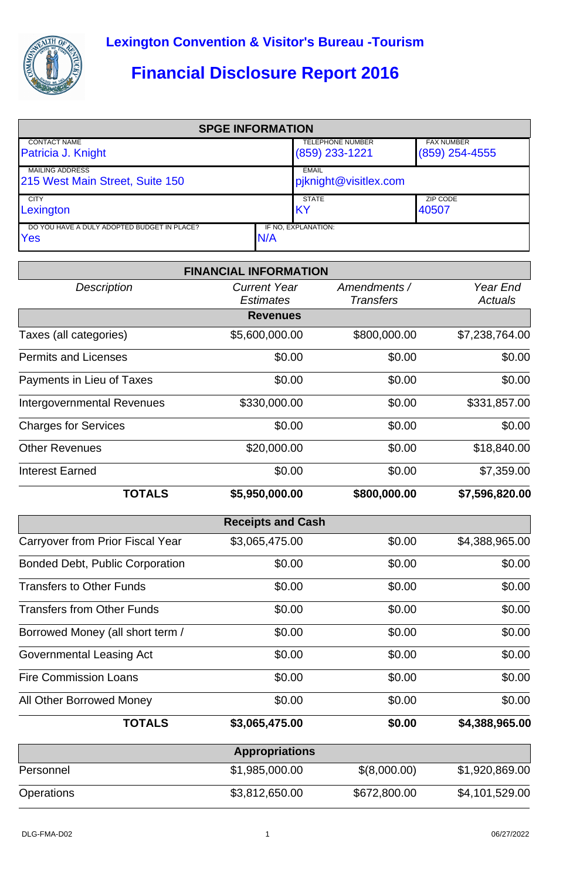

## **Financial Disclosure Report 2016**

| <b>SPGE INFORMATION</b>                            |     |                         |                   |  |  |
|----------------------------------------------------|-----|-------------------------|-------------------|--|--|
| <b>CONTACT NAME</b>                                |     | <b>TELEPHONE NUMBER</b> | <b>FAX NUMBER</b> |  |  |
| Patricia J. Knight                                 |     | $(859)$ 233-1221        | $(859)$ 254-4555  |  |  |
| <b>MAILING ADDRESS</b>                             |     | <b>EMAIL</b>            |                   |  |  |
| 215 West Main Street, Suite 150                    |     | pjknight@visitlex.com   |                   |  |  |
| <b>CITY</b>                                        |     | <b>STATE</b>            | ZIP CODE          |  |  |
| Lexington                                          |     | IKY                     | 40507             |  |  |
| DO YOU HAVE A DULY ADOPTED BUDGET IN PLACE?<br>Yes | N/A | IF NO, EXPLANATION:     |                   |  |  |

|                                         | <b>FINANCIAL INFORMATION</b>            |                                  |                            |
|-----------------------------------------|-----------------------------------------|----------------------------------|----------------------------|
| <b>Description</b>                      | <b>Current Year</b><br><b>Estimates</b> | Amendments /<br><b>Transfers</b> | Year End<br><b>Actuals</b> |
|                                         | <b>Revenues</b>                         |                                  |                            |
| Taxes (all categories)                  | \$5,600,000.00                          | \$800,000.00                     | \$7,238,764.00             |
| <b>Permits and Licenses</b>             | \$0.00                                  | \$0.00                           | \$0.00                     |
| Payments in Lieu of Taxes               | \$0.00                                  | \$0.00                           | \$0.00                     |
| <b>Intergovernmental Revenues</b>       | \$330,000.00                            | \$0.00                           | \$331,857.00               |
| <b>Charges for Services</b>             | \$0.00                                  | \$0.00                           | \$0.00                     |
| <b>Other Revenues</b>                   | \$20,000.00                             | \$0.00                           | \$18,840.00                |
| <b>Interest Earned</b>                  | \$0.00                                  | \$0.00                           | \$7,359.00                 |
| <b>TOTALS</b>                           | \$5,950,000.00                          | \$800,000.00                     | \$7,596,820.00             |
|                                         | <b>Receipts and Cash</b>                |                                  |                            |
| <b>Carryover from Prior Fiscal Year</b> | \$3,065,475.00                          | \$0.00                           | \$4,388,965.00             |
| <b>Bonded Debt, Public Corporation</b>  | \$0.00                                  | \$0.00                           | \$0.00                     |
| <b>Transfers to Other Funds</b>         | \$0.00                                  | \$0.00                           | \$0.00                     |
| <b>Transfers from Other Funds</b>       | \$0.00                                  | \$0.00                           | \$0.00                     |
| Borrowed Money (all short term /        | \$0.00                                  | \$0.00                           | \$0.00                     |
| Governmental Leasing Act                | \$0.00                                  | \$0.00                           | \$0.00                     |
| <b>Fire Commission Loans</b>            | \$0.00                                  | \$0.00                           | \$0.00                     |
| All Other Borrowed Money                | \$0.00                                  | \$0.00                           | \$0.00                     |
| <b>TOTALS</b>                           | \$3,065,475.00                          | \$0.00                           | \$4,388,965.00             |
|                                         | <b>Appropriations</b>                   |                                  |                            |
| Personnel                               | \$1,985,000.00                          | \$(8,000.00)                     | \$1,920,869.00             |
| Operations                              | \$3,812,650.00                          | \$672,800.00                     | \$4,101,529.00             |